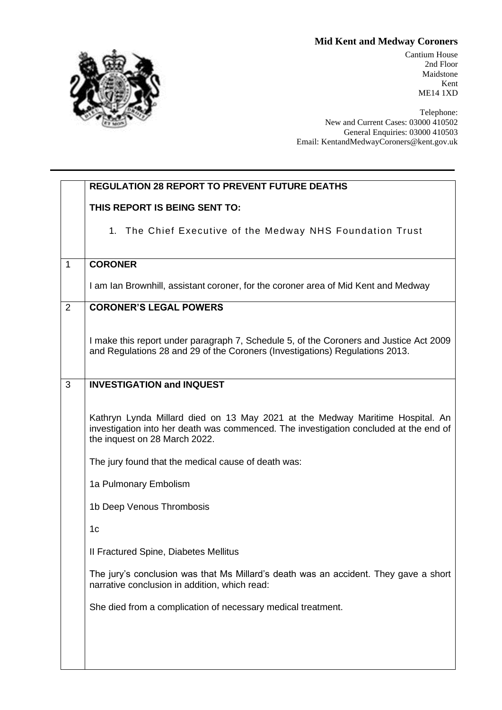## **Mid Kent and Medway Coroners**



Cantium House 2nd Floor Maidstone Kent ME14 1XD

Telephone: New and Current Cases: 03000 410502 General Enquiries: 03000 410503 Email: KentandMedwayCoroners@kent.gov.uk

| <b>REGULATION 28 REPORT TO PREVENT FUTURE DEATHS</b>                                                                                                                                                    |                |
|---------------------------------------------------------------------------------------------------------------------------------------------------------------------------------------------------------|----------------|
| THIS REPORT IS BEING SENT TO:                                                                                                                                                                           |                |
| 1. The Chief Executive of the Medway NHS Foundation Trust                                                                                                                                               |                |
|                                                                                                                                                                                                         | $\mathbf{1}$   |
| I am Ian Brownhill, assistant coroner, for the coroner area of Mid Kent and Medway                                                                                                                      |                |
| <b>CORONER'S LEGAL POWERS</b>                                                                                                                                                                           | $\overline{2}$ |
| I make this report under paragraph 7, Schedule 5, of the Coroners and Justice Act 2009<br>and Regulations 28 and 29 of the Coroners (Investigations) Regulations 2013.                                  |                |
| <b>INVESTIGATION and INQUEST</b>                                                                                                                                                                        | 3              |
| Kathryn Lynda Millard died on 13 May 2021 at the Medway Maritime Hospital. An<br>investigation into her death was commenced. The investigation concluded at the end of<br>the inquest on 28 March 2022. |                |
| The jury found that the medical cause of death was:                                                                                                                                                     |                |
| 1a Pulmonary Embolism                                                                                                                                                                                   |                |
| 1b Deep Venous Thrombosis                                                                                                                                                                               |                |
|                                                                                                                                                                                                         |                |
| II Fractured Spine, Diabetes Mellitus                                                                                                                                                                   |                |
| The jury's conclusion was that Ms Millard's death was an accident. They gave a short<br>narrative conclusion in addition, which read:                                                                   |                |
| She died from a complication of necessary medical treatment.                                                                                                                                            |                |
|                                                                                                                                                                                                         |                |
|                                                                                                                                                                                                         |                |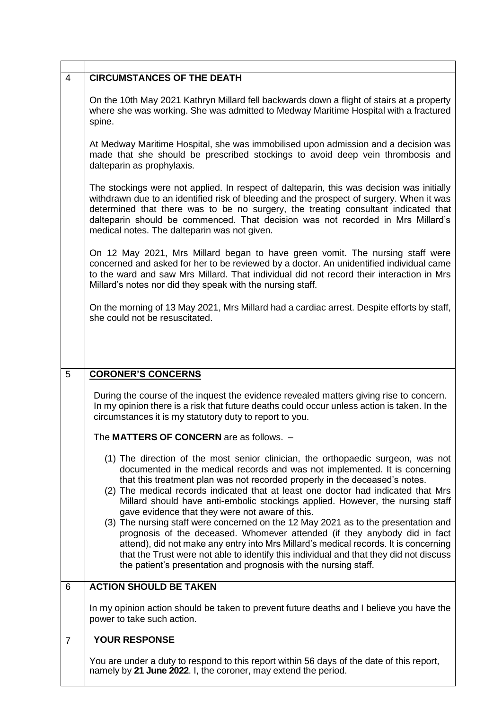| $\overline{4}$ | <b>CIRCUMSTANCES OF THE DEATH</b>                                                                                                                                                                                                                                                                                                                                                                                                                                                                                                                                                                                                                                                                                                                                                                                                                                                                 |
|----------------|---------------------------------------------------------------------------------------------------------------------------------------------------------------------------------------------------------------------------------------------------------------------------------------------------------------------------------------------------------------------------------------------------------------------------------------------------------------------------------------------------------------------------------------------------------------------------------------------------------------------------------------------------------------------------------------------------------------------------------------------------------------------------------------------------------------------------------------------------------------------------------------------------|
|                | On the 10th May 2021 Kathryn Millard fell backwards down a flight of stairs at a property<br>where she was working. She was admitted to Medway Maritime Hospital with a fractured<br>spine.                                                                                                                                                                                                                                                                                                                                                                                                                                                                                                                                                                                                                                                                                                       |
|                | At Medway Maritime Hospital, she was immobilised upon admission and a decision was<br>made that she should be prescribed stockings to avoid deep vein thrombosis and<br>dalteparin as prophylaxis.                                                                                                                                                                                                                                                                                                                                                                                                                                                                                                                                                                                                                                                                                                |
|                | The stockings were not applied. In respect of dalteparin, this was decision was initially<br>withdrawn due to an identified risk of bleeding and the prospect of surgery. When it was<br>determined that there was to be no surgery, the treating consultant indicated that<br>dalteparin should be commenced. That decision was not recorded in Mrs Millard's<br>medical notes. The dalteparin was not given.                                                                                                                                                                                                                                                                                                                                                                                                                                                                                    |
|                | On 12 May 2021, Mrs Millard began to have green vomit. The nursing staff were<br>concerned and asked for her to be reviewed by a doctor. An unidentified individual came<br>to the ward and saw Mrs Millard. That individual did not record their interaction in Mrs<br>Millard's notes nor did they speak with the nursing staff.                                                                                                                                                                                                                                                                                                                                                                                                                                                                                                                                                                |
|                | On the morning of 13 May 2021, Mrs Millard had a cardiac arrest. Despite efforts by staff,<br>she could not be resuscitated.                                                                                                                                                                                                                                                                                                                                                                                                                                                                                                                                                                                                                                                                                                                                                                      |
|                |                                                                                                                                                                                                                                                                                                                                                                                                                                                                                                                                                                                                                                                                                                                                                                                                                                                                                                   |
| 5              | <b>CORONER'S CONCERNS</b>                                                                                                                                                                                                                                                                                                                                                                                                                                                                                                                                                                                                                                                                                                                                                                                                                                                                         |
|                | During the course of the inquest the evidence revealed matters giving rise to concern.<br>In my opinion there is a risk that future deaths could occur unless action is taken. In the<br>circumstances it is my statutory duty to report to you.                                                                                                                                                                                                                                                                                                                                                                                                                                                                                                                                                                                                                                                  |
|                | The MATTERS OF CONCERN are as follows.                                                                                                                                                                                                                                                                                                                                                                                                                                                                                                                                                                                                                                                                                                                                                                                                                                                            |
|                | (1) The direction of the most senior clinician, the orthopaedic surgeon, was not<br>documented in the medical records and was not implemented. It is concerning<br>that this treatment plan was not recorded properly in the deceased's notes.<br>(2) The medical records indicated that at least one doctor had indicated that Mrs<br>Millard should have anti-embolic stockings applied. However, the nursing staff<br>gave evidence that they were not aware of this.<br>(3) The nursing staff were concerned on the 12 May 2021 as to the presentation and<br>prognosis of the deceased. Whomever attended (if they anybody did in fact<br>attend), did not make any entry into Mrs Millard's medical records. It is concerning<br>that the Trust were not able to identify this individual and that they did not discuss<br>the patient's presentation and prognosis with the nursing staff. |
| 6              | <b>ACTION SHOULD BE TAKEN</b>                                                                                                                                                                                                                                                                                                                                                                                                                                                                                                                                                                                                                                                                                                                                                                                                                                                                     |
|                | In my opinion action should be taken to prevent future deaths and I believe you have the<br>power to take such action.                                                                                                                                                                                                                                                                                                                                                                                                                                                                                                                                                                                                                                                                                                                                                                            |
| $\overline{7}$ | <b>YOUR RESPONSE</b>                                                                                                                                                                                                                                                                                                                                                                                                                                                                                                                                                                                                                                                                                                                                                                                                                                                                              |
|                | You are under a duty to respond to this report within 56 days of the date of this report,<br>namely by 21 June 2022. I, the coroner, may extend the period.                                                                                                                                                                                                                                                                                                                                                                                                                                                                                                                                                                                                                                                                                                                                       |